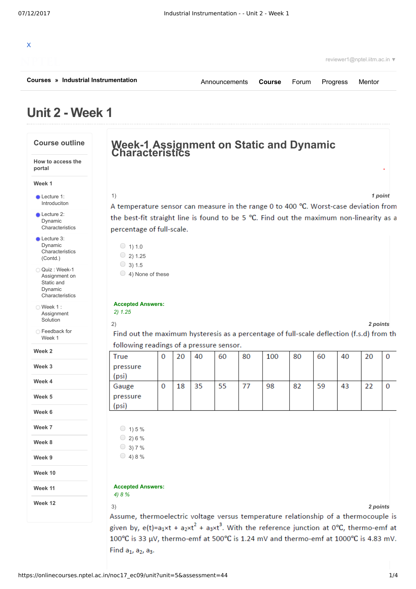| Courses » Industrial Instrumentation                                         |                                                                                                                       |              |    |    | Announcements |    | <b>Course</b> | Forum | Progress                                                                            | Mentor   |          |
|------------------------------------------------------------------------------|-----------------------------------------------------------------------------------------------------------------------|--------------|----|----|---------------|----|---------------|-------|-------------------------------------------------------------------------------------|----------|----------|
| Unit 2 - Week 1                                                              |                                                                                                                       |              |    |    |               |    |               |       |                                                                                     |          |          |
| <b>Course outline</b>                                                        | Week-1 Assignment on Static and Dynamic<br>Characteristics                                                            |              |    |    |               |    |               |       |                                                                                     |          |          |
| How to access the<br>portal                                                  |                                                                                                                       |              |    |    |               |    |               |       |                                                                                     |          |          |
| Week 1                                                                       |                                                                                                                       |              |    |    |               |    |               |       |                                                                                     |          |          |
| <b>Lecture 1:</b>                                                            | 1)                                                                                                                    |              |    |    |               |    |               |       |                                                                                     |          | 1 point  |
| Introduciton                                                                 | A temperature sensor can measure in the range 0 to 400 °C. Worst-case deviation from                                  |              |    |    |               |    |               |       |                                                                                     |          |          |
| $\bullet$ Lecture 2:                                                         | the best-fit straight line is found to be 5 °C. Find out the maximum non-linearity as a                               |              |    |    |               |    |               |       |                                                                                     |          |          |
| Dynamic<br>Characteristics                                                   | percentage of full-scale.                                                                                             |              |    |    |               |    |               |       |                                                                                     |          |          |
| $\bullet$ Lecture 3:<br>Dynamic<br>Characteristics<br>(Contd.)               | $\circ$ 1) 1.0<br>$\circ$ 2) 1.25                                                                                     |              |    |    |               |    |               |       |                                                                                     |          |          |
| ○ Quiz : Week-1<br>Assignment on<br>Static and<br>Dynamic<br>Characteristics | $\circ$ 3) 1.5<br>$\bigcirc$ 4) None of these                                                                         |              |    |    |               |    |               |       |                                                                                     |          |          |
| $\bigcirc$ Week 1 :<br>Assignment<br>Solution                                | <b>Accepted Answers:</b><br>2) 1.25<br>2)                                                                             |              |    |    |               |    |               |       |                                                                                     | 2 points |          |
| ◯ Feedback for<br>Week 1                                                     | Find out the maximum hysteresis as a percentage of full-scale deflection (f.s.d) from the                             |              |    |    |               |    |               |       |                                                                                     |          |          |
| Week 2                                                                       | following readings of a pressure sensor.                                                                              |              |    |    |               |    |               |       |                                                                                     |          |          |
| Week 3                                                                       | <b>True</b><br>pressure                                                                                               | $\mathbf{0}$ | 20 | 40 | 60            | 80 | 100           | 80    | 60<br>40                                                                            | 20       | 0        |
| Week 4                                                                       | (psi)<br>Gauge                                                                                                        | 0            | 18 | 35 | 55            | 77 | 98            | 82    | 59<br>43                                                                            | 22       |          |
| Week 5                                                                       | pressure<br>(psi)                                                                                                     |              |    |    |               |    |               |       |                                                                                     |          | $\Omega$ |
| Week 6                                                                       |                                                                                                                       |              |    |    |               |    |               |       |                                                                                     |          |          |
| Week 7                                                                       | $\circ$ 1) 5 %                                                                                                        |              |    |    |               |    |               |       |                                                                                     |          |          |
| Week 8                                                                       | $\circ$ 2) 6 %<br>$\bigcirc$ 3) 7 %                                                                                   |              |    |    |               |    |               |       |                                                                                     |          |          |
| Week 9                                                                       | $\bigcirc$ 4) 8 %                                                                                                     |              |    |    |               |    |               |       |                                                                                     |          |          |
| Week 10                                                                      |                                                                                                                       |              |    |    |               |    |               |       |                                                                                     |          |          |
| Week 11                                                                      | <b>Accepted Answers:</b><br>4) 8 %                                                                                    |              |    |    |               |    |               |       |                                                                                     |          |          |
| Week 12                                                                      | 3)                                                                                                                    |              |    |    |               |    |               |       |                                                                                     | 2 points |          |
|                                                                              |                                                                                                                       |              |    |    |               |    |               |       | Assume, thermoelectric voltage versus temperature relationship of a thermocouple is |          |          |
|                                                                              |                                                                                                                       |              |    |    |               |    |               |       |                                                                                     |          |          |
|                                                                              | given by, $e(t) = a_1 \times t + a_2 \times t^2 + a_3 \times t^3$ . With the reference junction at 0°C, thermo-emf at |              |    |    |               |    |               |       |                                                                                     |          |          |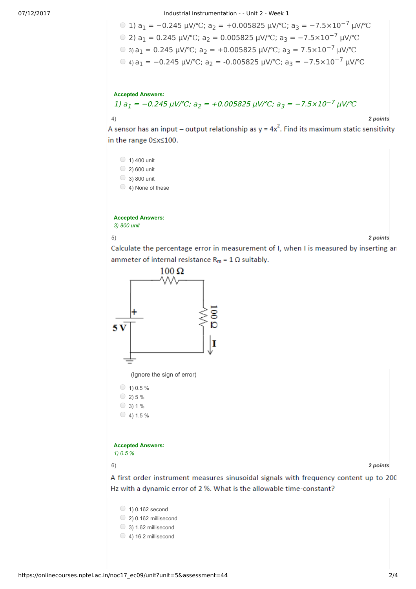07/12/2017 Industrial Instrumentation - - Unit 2 - Week 1

\n- ① 1) 
$$
a_1 = -0.245 \, \mu\text{V} / \text{°C}
$$
;  $a_2 = +0.005825 \, \mu\text{V} / \text{°C}$ ;  $a_3 = -7.5 \times 10^{-7} \, \mu\text{V} / \text{°C}$
\n- ② 2)  $a_1 = 0.245 \, \mu\text{V} / \text{°C}$ ;  $a_2 = 0.005825 \, \mu\text{V} / \text{°C}$ ;  $a_3 = -7.5 \times 10^{-7} \, \mu\text{V} / \text{°C}$
\n- ③  $a_3 a_1 = 0.245 \, \mu\text{V} / \text{°C}$ ;  $a_2 = +0.005825 \, \mu\text{V} / \text{°C}$ ;  $a_3 = 7.5 \times 10^{-7} \, \mu\text{V} / \text{°C}$
\n- ④  $a_3 a_1 = -0.245 \, \mu\text{V} / \text{°C}$ ;  $a_2 = -0.005825 \, \mu\text{V} / \text{°C}$ ;  $a_3 = -7.5 \times 10^{-7} \, \mu\text{V} / \text{°C}$
\n

## **Accepted Answers:**

1)  $a_1 = -0.245 \mu V$ /°C;  $a_2 = +0.005825 \mu V$ /°C;  $a_3 = -7.5 \times 10^{-7} \mu V$ /°C

4) *2 points*

A sensor has an input – output relationship as  $y = 4x^2$ . Find its maximum static sensitivity in the range 0≤x≤100.

 $\bigcirc$  1) 400 unit  $\bigcirc$  2) 600 unit 3) 800 unit 4) None of these

**Accepted Answers:** *3) 800 unit*

5) *2 points*

Calculate the percentage error in measurement of I, when I is measured by inserting an ammeter of internal resistance  $R_m = 1 \Omega$  suitably.



A first order instrument measures sinusoidal signals with frequency content up to 200 Hz with a dynamic error of 2 %. What is the allowable time-constant?

- $\bigcirc$  1) 0.162 second
- $\circ$  2) 0.162 millisecond
- $\bigcirc$  3) 1.62 millisecond
- $\bigcirc$  4) 16.2 millisecond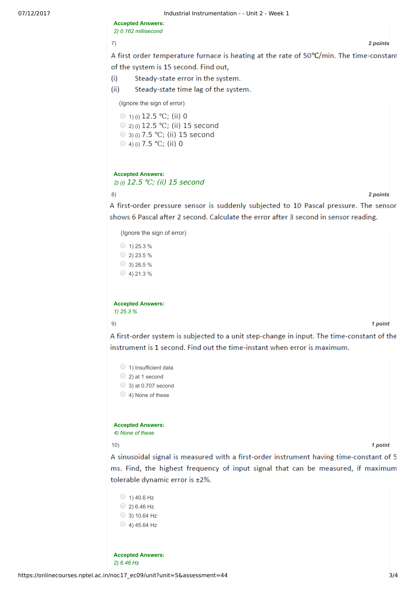07/12/2017 **Industrial Instrumentation - - Unit 2 - Week 1** 

**Accepted Answers:** *2) 0.162 millisecond*

7) *2 points*

A first order temperature furnace is heating at the rate of 50°C/min. The time-constant of the system is 15 second. Find out,

 $(i)$ Steady-state error in the system.

 $(ii)$ Steady-state time lag of the system.

(Ignore the sign of error)

 $\circ$  1) (i) 12.5 °C; (ii) 0 2) (i) 12.5 ℃; (ii) 15 second 3) (i) 7.5 ℃; (ii) 15 second 4) (i) 7.5 ℃; (ii) 0

## **Accepted Answers:** *2) (i)* 12.5 ℃; (ii) 15 second

8) *2 points*

A first-order pressure sensor is suddenly subjected to 10 Pascal pressure. The sensor shows 6 Pascal after 2 second. Calculate the error after 3 second in sensor reading.

(Ignore the sign of error)

 $\circ$  1) 25.3 %  $\circ$  2) 23.5 %  $\circ$  3) 26.5 %  $\bigcirc$  4) 21.3 %

**Accepted Answers:** *1) 25.3 %*

9) *1 point*

A first-order system is subjected to a unit step-change in input. The time-constant of the instrument is 1 second. Find out the time-instant when error is maximum.

- $\bigcirc$  1) Insufficient data
- $\bigcirc$  2) at 1 second
- $\bigcirc$  3) at 0.707 second
- $\bigcirc$  4) None of these

**Accepted Answers:** *4) None of these*

10) *1 point*

A sinusoidal signal is measured with a first-order instrument having time-constant of 5 ms. Find, the highest frequency of input signal that can be measured, if maximum tolerable dynamic error is ±2%.

 $()$  1) 40.6 Hz  $\circ$  2) 6.46 Hz  $\circ$  3) 10.64 Hz  $($  4) 45.64 Hz

**Accepted Answers:** *2) 6.46 Hz*